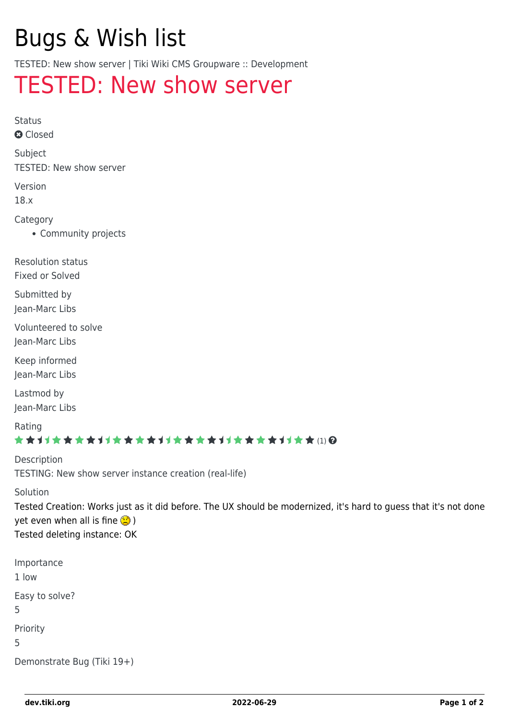# Bugs & Wish list

TESTED: New show server | Tiki Wiki CMS Groupware :: Development

## [TESTED: New show server](https://dev.tiki.org/item6761-TESTED-New-show-server)

Status

**a** Closed

Subject

TESTED: New show server

Version

18.x

Category

Community projects

Resolution status Fixed or Solved

Submitted by Jean-Marc Libs

Volunteered to solve Jean-Marc Libs

Keep informed Jean-Marc Libs

Lastmod by Jean-Marc Libs

Rating

#### \*\*\*\*\*\*\*\*\*\*\*\*\*\*\*\*\*\*\*\*\*\*\*\*\*\*\*\*\*\*

Description TESTING: New show server instance creation (real-life)

#### Solution

Tested Creation: Works just as it did before. The UX should be modernized, it's hard to guess that it's not done yet even when all is fine  $\circledR$ ) Tested deleting instance: OK

Importance 1 low Easy to solve? 5 Priority 5 Demonstrate Bug (Tiki 19+)